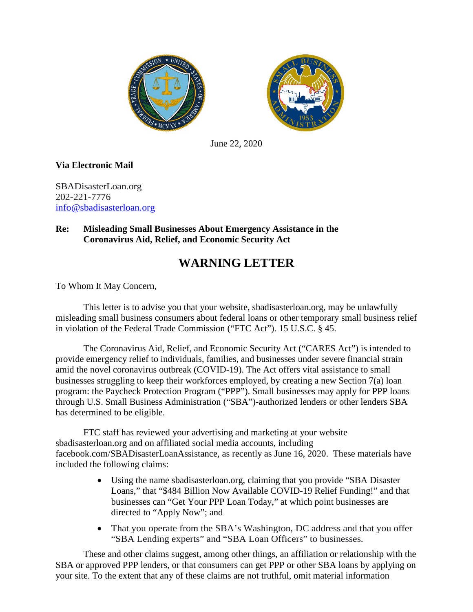



June 22, 2020

## **Via Electronic Mail**

SBADisasterLoan.org 202-221-7776 [info@sbadisasterloan.org](mailto:info@sbadisasterloan.org)

## **Re: Misleading Small Businesses About Emergency Assistance in the Coronavirus Aid, Relief, and Economic Security Act**

## **WARNING LETTER**

To Whom It May Concern,

This letter is to advise you that your website, sbadisasterloan.org, may be unlawfully misleading small business consumers about federal loans or other temporary small business relief in violation of the Federal Trade Commission ("FTC Act"). 15 U.S.C. § 45.

The Coronavirus Aid, Relief, and Economic Security Act ("CARES Act") is intended to provide emergency relief to individuals, families, and businesses under severe financial strain amid the novel coronavirus outbreak (COVID-19). The Act offers vital assistance to small businesses struggling to keep their workforces employed, by creating a new Section 7(a) loan program: the Paycheck Protection Program ("PPP"). Small businesses may apply for PPP loans through U.S. Small Business Administration ("SBA")-authorized lenders or other lenders SBA has determined to be eligible.

FTC staff has reviewed your advertising and marketing at your website sbadisasterloan.org and on affiliated social media accounts, including facebook.com/SBADisasterLoanAssistance, as recently as June 16, 2020. These materials have included the following claims:

- Using the name sbadisasterloan.org, claiming that you provide "SBA Disaster Loans," that "\$484 Billion Now Available COVID-19 Relief Funding!" and that businesses can "Get Your PPP Loan Today," at which point businesses are directed to "Apply Now"; and
- That you operate from the SBA's Washington, DC address and that you offer "SBA Lending experts" and "SBA Loan Officers" to businesses.

These and other claims suggest, among other things, an affiliation or relationship with the SBA or approved PPP lenders, or that consumers can get PPP or other SBA loans by applying on your site. To the extent that any of these claims are not truthful, omit material information